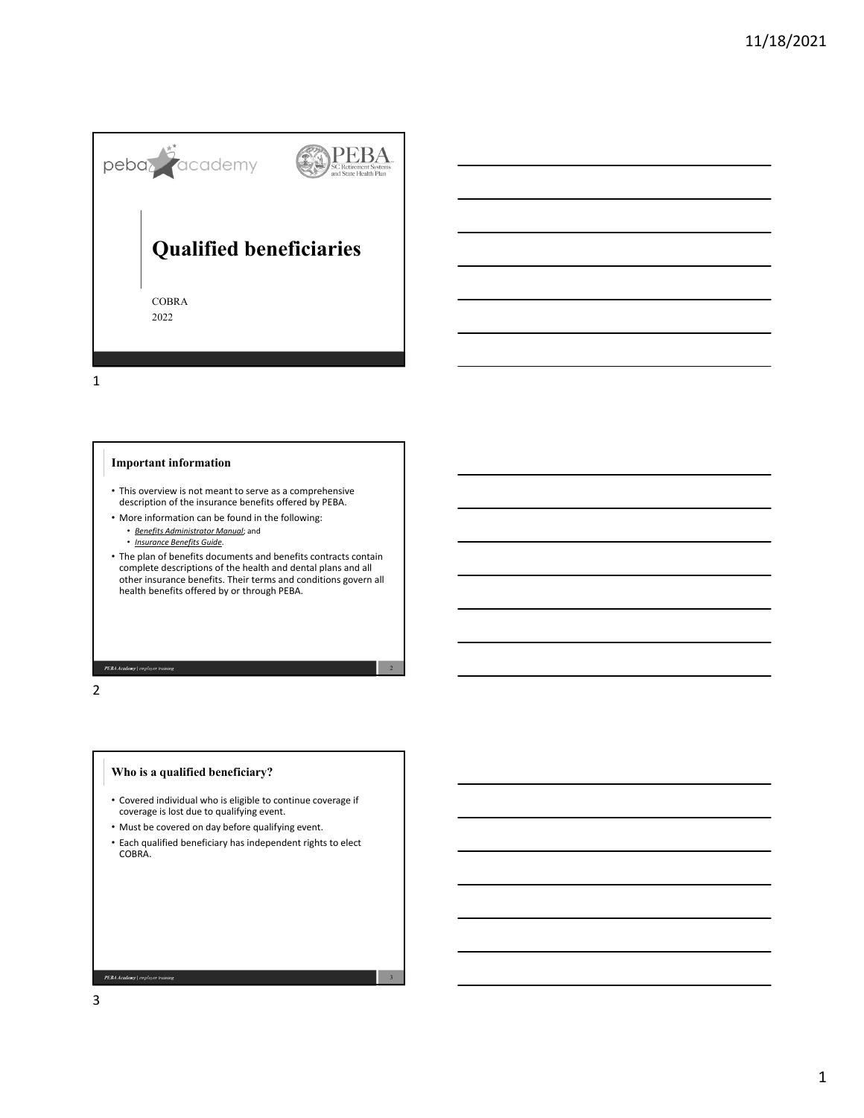

1

### **Important information**

- This overview is not meant to serve as a comprehensive description of the insurance benefits offered by PEBA.
- More information can be found in the following:
	- *Benefits Administrator Manual*; and
	- *Insurance Benefits Guide*.
- The plan of benefits documents and benefits contracts contain complete descriptions of the health and dental plans and all other insurance benefits. Their terms and conditions govern all health benefits offered by or through PEBA.

2

3

2

**PEBA Academy** | employer training

# **Who is a qualified beneficiary?**

- Covered individual who is eligible to continue coverage if coverage is lost due to qualifying event.
- Must be covered on day before qualifying event.
- Each qualified beneficiary has independent rights to elect COBRA.

3

PEBA Academy | employer train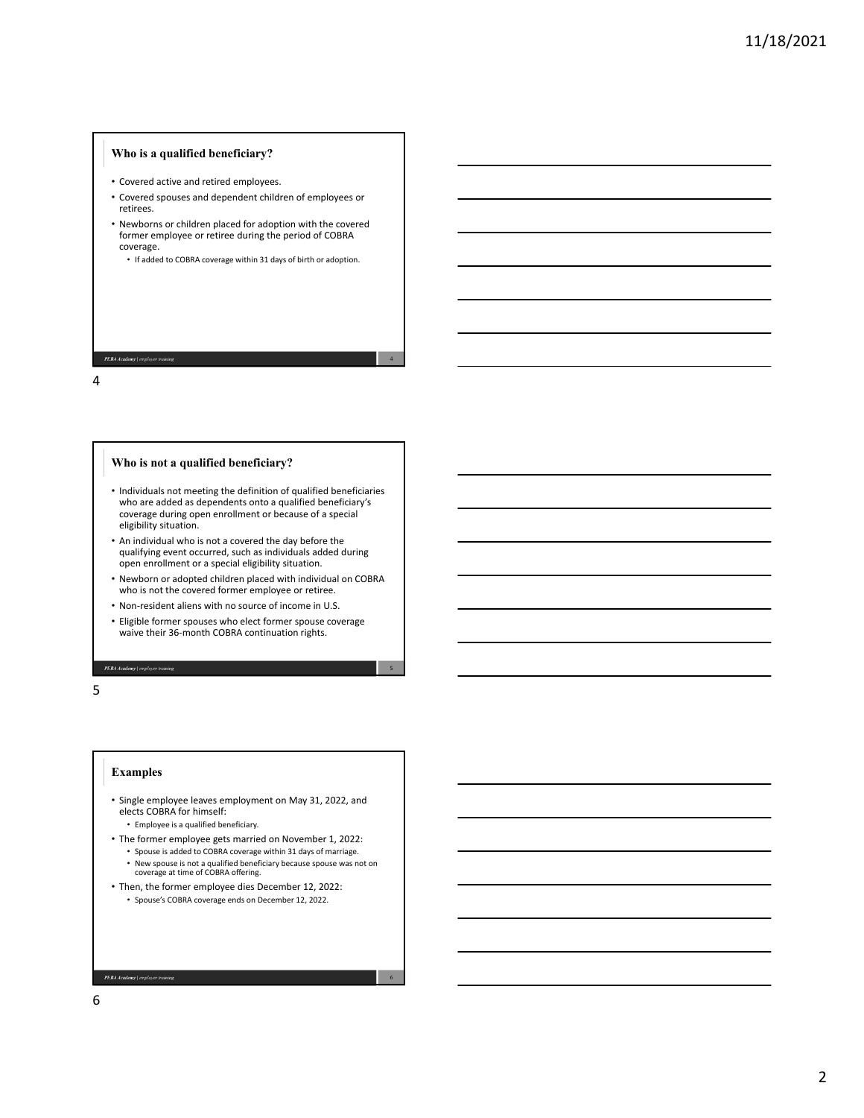# **Who is a qualified beneficiary?**

- Covered active and retired employees.
- Covered spouses and dependent children of employees or retirees.
- Newborns or children placed for adoption with the covered former employee or retiree during the period of COBRA coverage.
	- If added to COBRA coverage within 31 days of birth or adoption.

4

5

6

#### PEBA Academy | em

4

### **Who is not a qualified beneficiary?**

- Individuals not meeting the definition of qualified beneficiaries who are added as dependents onto a qualified beneficiary's coverage during open enrollment or because of a special eligibility situation.
- An individual who is not a covered the day before the qualifying event occurred, such as individuals added during open enrollment or a special eligibility situation.
- Newborn or adopted children placed with individual on COBRA who is not the covered former employee or retiree.
- Non‐resident aliens with no source of income in U.S.
- Eligible former spouses who elect former spouse coverage waive their 36‐month COBRA continuation rights.

5

### **Examples**

PEBA Academy | employer training

- Single employee leaves employment on May 31, 2022, and elects COBRA for himself:
	- Employee is a qualified beneficiary.
- The former employee gets married on November 1, 2022:
	- Spouse is added to COBRA coverage within 31 days of marriage. • New spouse is not a qualified beneficiary because spouse was not on coverage at time of COBRA offering.
- Then, the former employee dies December 12, 2022: • Spouse's COBRA coverage ends on December 12, 2022.

PEBA Academy | employer trai

6